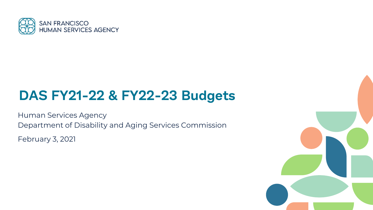

# **DAS FY21-22 & FY22-23 Budgets**

Human Services Agency Department of Disability and Aging Services Commission February 3, 2021

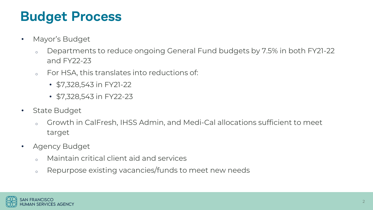# **Budget Process**

- Mayor's Budget
	- o Departments to reduce ongoing General Fund budgets by 7.5% in both FY21-22 and FY22-23
	- <sup>o</sup> For HSA, this translates into reductions of:
		- \$7,328,543 in FY21-22
		- \$7,328,543 in FY22-23
- State Budget
	- o Growth in CalFresh, IHSS Admin, and Medi-Cal allocations sufficient to meet target
- Agency Budget
	- <sup>o</sup> Maintain critical client aid and services
	- <sup>o</sup> Repurpose existing vacancies/funds to meet new needs

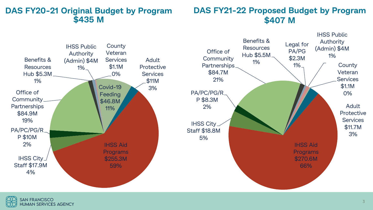### **DAS FY20-21 Original Budget by Program \$435 M**

## **DAS FY21-22 Proposed Budget by Program \$407 M**



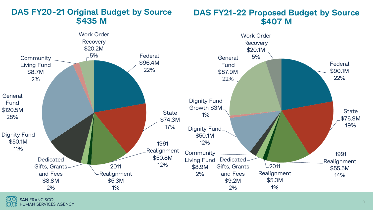

## **DAS FY20-21 Original Budget by Source \$435 M**

#### **DAS FY21-22 Proposed Budget by Source \$407 M**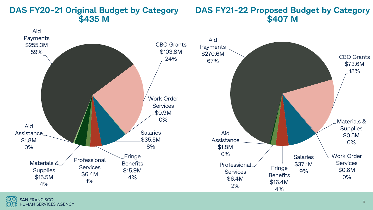### **DAS FY20-21 Original Budget by Category \$435 M**

#### **DAS FY21-22 Proposed Budget by Category \$407 M**

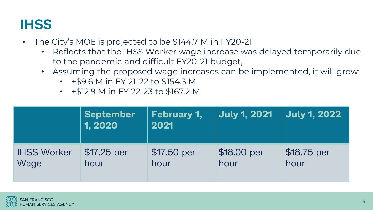# **IHSS**

- The City's MOE is projected to be \$144.7 M in FY20-21
	- Reflects that the IHSS Worker wage increase was delayed temporarily due to the pandemic and difficult FY20-21 budget,
	- Assuming the proposed wage increases can be implemented, it will grow:
		- +\$9.6 M in FY 21-22 to \$154.3 M
		- +\$12.9 M in FY 22-23 to \$167.2 M

|                    | <b>September</b><br>1, 2020 | <b>February 1,</b><br>2021 | <b>July 1, 2021</b> | <b>July 1, 2022</b> |
|--------------------|-----------------------------|----------------------------|---------------------|---------------------|
| <b>IHSS Worker</b> | $$17.25$ per                | \$17.50 per                | \$18.00 per         | \$18.75 per         |
| Wage               | hour                        | hour                       | hour                | hour                |

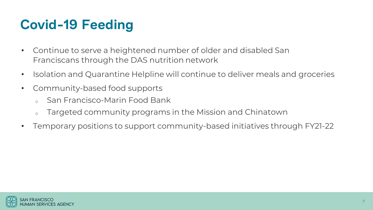# **Covid-19 Feeding**

- Continue to serve a heightened number of older and disabled San Franciscans through the DAS nutrition network
- Isolation and Quarantine Helpline will continue to deliver meals and groceries
- Community-based food supports
	- San Francisco-Marin Food Bank
	- o Targeted community programs in the Mission and Chinatown
- Temporary positions to support community-based initiatives through FY21-22

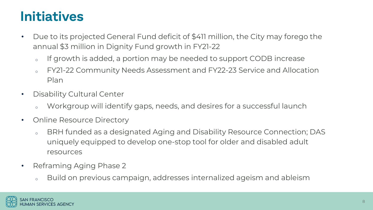## **Initiatives**

- Due to its projected General Fund deficit of \$411 million, the City may forego the annual \$3 million in Dignity Fund growth in FY21-22
	- o If growth is added, a portion may be needed to support CODB increase
	- <sup>o</sup> FY21-22 Community Needs Assessment and FY22-23 Service and Allocation Plan
- Disability Cultural Center
	- Workgroup will identify gaps, needs, and desires for a successful launch
- Online Resource Directory
	- o BRH funded as a designated Aging and Disability Resource Connection; DAS uniquely equipped to develop one-stop tool for older and disabled adult resources
- Reframing Aging Phase 2
	- <sup>o</sup> Build on previous campaign, addresses internalized ageism and ableism

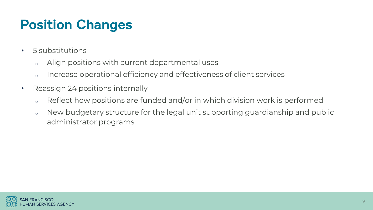# **Position Changes**

- 5 substitutions
	- <sup>o</sup> Align positions with current departmental uses
	- o Increase operational efficiency and effectiveness of client services
- Reassign 24 positions internally
	- o Reflect how positions are funded and/or in which division work is performed
	- o New budgetary structure for the legal unit supporting guardianship and public administrator programs